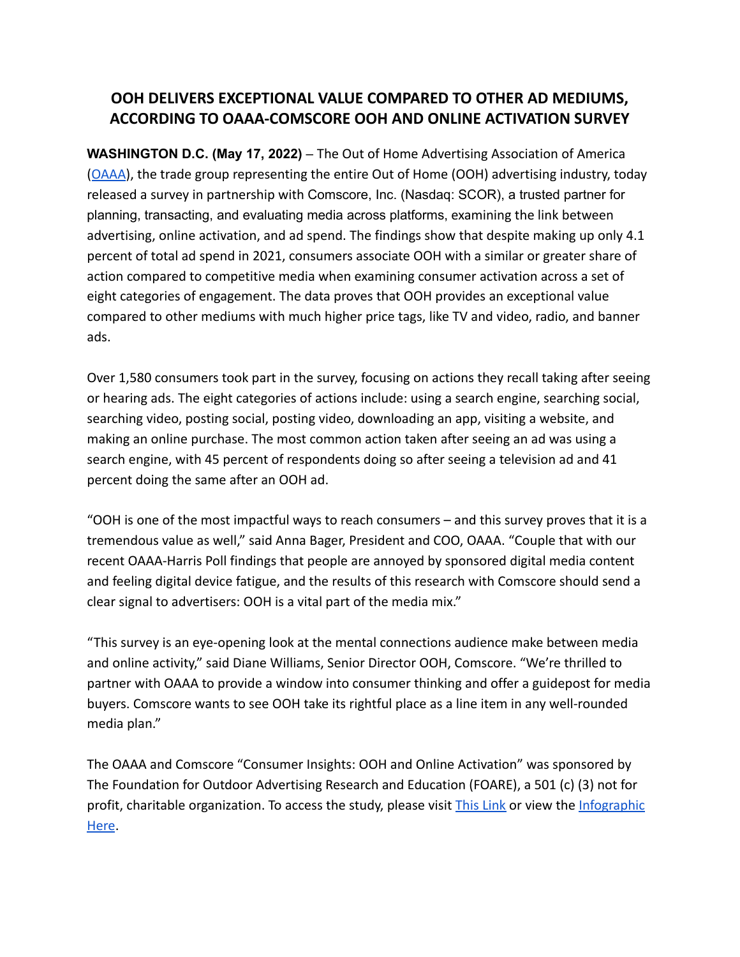## **OOH DELIVERS EXCEPTIONAL VALUE COMPARED TO OTHER AD MEDIUMS, ACCORDING TO OAAA-COMSCORE OOH AND ONLINE ACTIVATION SURVEY**

**WASHINGTON D.C. (May 17, 2022)** – The Out of Home Advertising Association of America ([OAAA](http://www.oaaa.org/)), the trade group representing the entire Out of Home (OOH) advertising industry, today released a survey in partnership with Comscore, Inc. (Nasdaq: SCOR), a trusted partner for planning, transacting, and evaluating media across platforms, examining the link between advertising, online activation, and ad spend. The findings show that despite making up only 4.1 percent of total ad spend in 2021, consumers associate OOH with a similar or greater share of action compared to competitive media when examining consumer activation across a set of eight categories of engagement. The data proves that OOH provides an exceptional value compared to other mediums with much higher price tags, like TV and video, radio, and banner ads.

Over 1,580 consumers took part in the survey, focusing on actions they recall taking after seeing or hearing ads. The eight categories of actions include: using a search engine, searching social, searching video, posting social, posting video, downloading an app, visiting a website, and making an online purchase. The most common action taken after seeing an ad was using a search engine, with 45 percent of respondents doing so after seeing a television ad and 41 percent doing the same after an OOH ad.

"OOH is one of the most impactful ways to reach consumers – and this survey proves that it is a tremendous value as well," said Anna Bager, President and COO, OAAA. "Couple that with our recent OAAA-Harris Poll findings that people are annoyed by sponsored digital media content and feeling digital device fatigue, and the results of this research with Comscore should send a clear signal to advertisers: OOH is a vital part of the media mix."

"This survey is an eye-opening look at the mental connections audience make between media and online activity," said Diane Williams, Senior Director OOH, Comscore. "We're thrilled to partner with OAAA to provide a window into consumer thinking and offer a guidepost for media buyers. Comscore wants to see OOH take its rightful place as a line item in any well-rounded media plan."

The OAAA and Comscore "Consumer Insights: OOH and Online Activation" was sponsored by The Foundation for Outdoor Advertising Research and Education (FOARE), a 501 (c) (3) not for profit, charitable organization. To access the study, please visit [This Link](https://oaaa.org/LinkClick.aspx?fileticket=RRuwIsJYCIo%3d&tabid=972&portalid=0&mid=1908) or view the [Infographic](https://oaaa.org/LinkClick.aspx?fileticket=xcYF4hZB9ms%3d&tabid=972&portalid=0&mid=1908) [Here](https://oaaa.org/LinkClick.aspx?fileticket=xcYF4hZB9ms%3d&tabid=972&portalid=0&mid=1908).